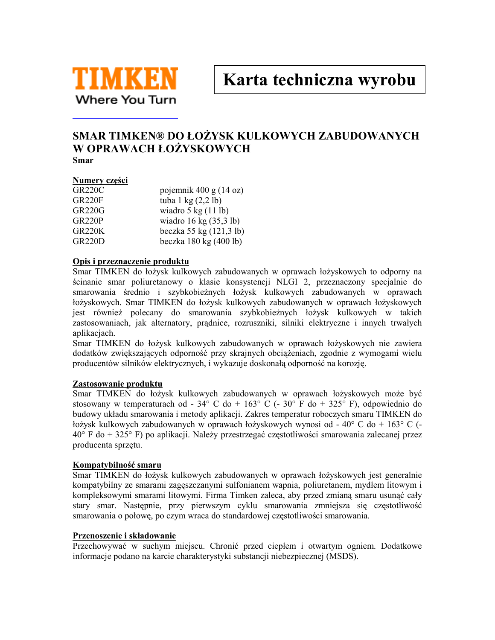

Karta techniczna wyrobu

# SMAR TIMKEN® DO ŁOŻYSK KULKOWYCH ZABUDOWANYCH W OPRAWACH ŁOŻYSKOWYCH Smar

### Numery części

| <b>GR220C</b> | pojemnik 400 g $(14 \text{ oz})$      |
|---------------|---------------------------------------|
| GR220F        | tuba $1 \text{ kg} (2,2 \text{ lb})$  |
| GR220G        | wiadro $5 \text{ kg} (11 \text{ lb})$ |
| GR220P        | wiadro 16 kg $(35,3 \text{ lb})$      |
| <b>GR220K</b> | beczka 55 kg (121,3 lb)               |
| GR220D        | beczka 180 kg (400 lb)                |

### Opis i przeznaczenie produktu

Smar TIMKEN do łożysk kulkowych zabudowanych w oprawach łożyskowych to odporny na ścinanie smar poliuretanowy o klasie konsystencji NLGI 2, przeznaczony specjalnie do smarowania średnio i szybkobieżnych łożysk kulkowych zabudowanych w oprawach łożyskowych. Smar TIMKEN do łożysk kulkowych zabudowanych w oprawach łożyskowych jest również polecany do smarowania szybkobieżnych łożysk kulkowych w takich zastosowaniach, jak alternatory, pradnice, rozruszniki, silniki elektryczne i innych trwałych aplikacjach.

Smar TIMKEN do łożysk kulkowych zabudowanych w oprawach łożyskowych nie zawiera dodatków zwiększających odporność przy skrajnych obciążeniach, zgodnie z wymogami wielu producentów silników elektrycznych, i wykazuje doskonałą odporność na korozję.

## Zastosowanie produktu

Smar TIMKEN do łożysk kulkowych zabudowanych w oprawach łożyskowych może być stosowany w temperaturach od -  $34^{\circ}$  C do +  $163^{\circ}$  C (-  $30^{\circ}$  F do +  $325^{\circ}$  F), odpowiednio do budowy układu smarowania i metody aplikacji. Zakres temperatur roboczych smaru TIMKEN do łożysk kulkowych zabudowanych w oprawach łożyskowych wynosi od - 40 $\degree$ C do + 163 $\degree$ C (-40° F do + 325° F) po aplikacji. Należy przestrzegać częstotliwości smarowania zalecanej przez producenta sprzętu.

#### Kompatybilność smaru

Smar TIMKEN do łożysk kulkowych zabudowanych w oprawach łożyskowych jest generalnie kompatybilny ze smarami zageszczanymi sulfonianem wapnia, poliuretanem, mydłem litowym i kompleksowymi smarami litowymi. Firma Timken zaleca, aby przed zmianą smaru usunąć cały stary smar. Następnie, przy pierwszym cyklu smarowania zmniejsza się częstotliwość smarowania o połowę, po czym wraca do standardowej częstotliwości smarowania.

#### Przenoszenie i składowanie

Przechowywać w suchym miejscu. Chronić przed ciepłem i otwartym ogniem. Dodatkowe informacje podano na karcie charakterystyki substancji niebezpiecznej (MSDS).